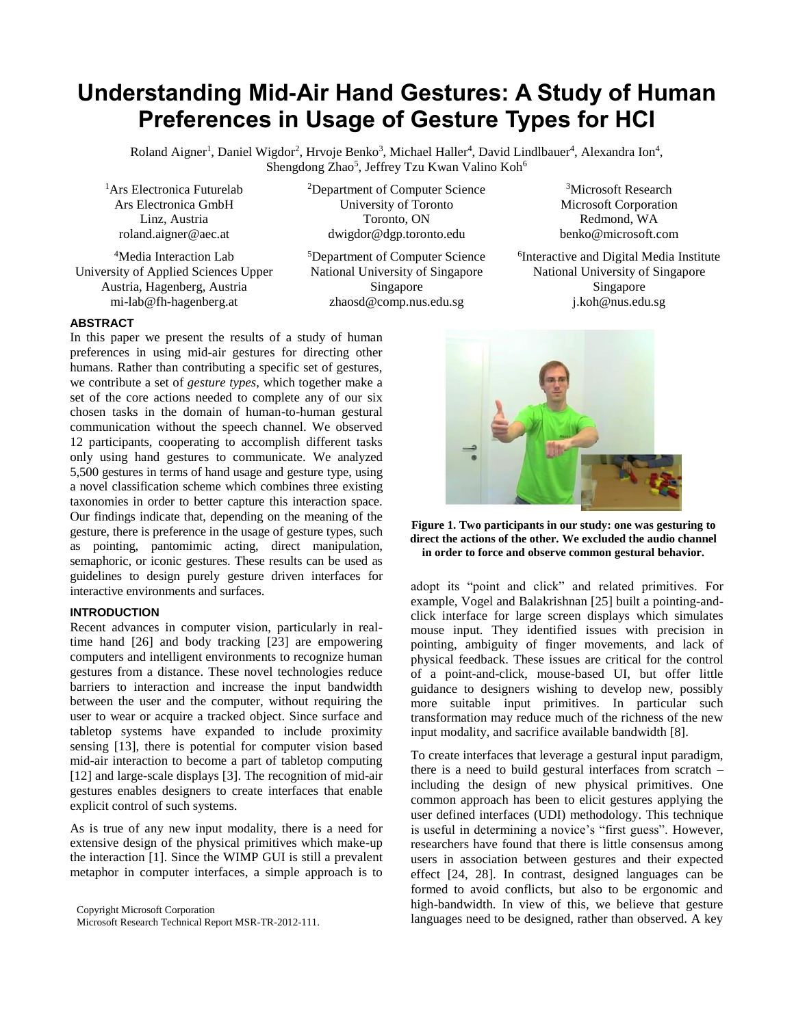# **Understanding Mid-Air Hand Gestures: A Study of Human Preferences in Usage of Gesture Types for HCI**

Roland Aigner<sup>1</sup>, Daniel Wigdor<sup>2</sup>, Hrvoje Benko<sup>3</sup>, Michael Haller<sup>4</sup>, David Lindlbauer<sup>4</sup>, Alexandra Ion<sup>4</sup>, Shengdong Zhao<sup>5</sup>, Jeffrey Tzu Kwan Valino Koh<sup>6</sup>

<sup>1</sup>Ars Electronica Futurelab Ars Electronica GmbH Linz, Austria [roland.aigner@aec.at](mailto:roland.aigner@aec.at)

<sup>4</sup>Media Interaction Lab University of Applied Sciences Upper Austria, Hagenberg, Austria [mi-lab@fh-hagenberg.at](mailto:mi-lab@fh-hagenberg.at)

<sup>2</sup>Department of Computer Science University of Toronto Toronto, ON [dwigdor@dgp.toronto.edu](mailto:dwigdor@dgp.toronto.edu)

<sup>5</sup>Department of Computer Science National University of Singapore Singapore [zhaosd@comp.nus.edu.sg](mailto:zhaosd@comp.nus.edu.sg)

<sup>3</sup>Microsoft Research Microsoft Corporation Redmond, WA [benko@microsoft.com](mailto:benko@microsoft.com)

<sup>6</sup>Interactive and Digital Media Institute National University of Singapore Singapore [j.koh@nus.edu.sg](mailto:j.koh@nus.edu.sg)

# **ABSTRACT**

In this paper we present the results of a study of human preferences in using mid-air gestures for directing other humans. Rather than contributing a specific set of gestures, we contribute a set of *gesture types,* which together make a set of the core actions needed to complete any of our six chosen tasks in the domain of human-to-human gestural communication without the speech channel. We observed 12 participants, cooperating to accomplish different tasks only using hand gestures to communicate. We analyzed 5,500 gestures in terms of hand usage and gesture type, using a novel classification scheme which combines three existing taxonomies in order to better capture this interaction space. Our findings indicate that, depending on the meaning of the gesture, there is preference in the usage of gesture types, such as pointing, pantomimic acting, direct manipulation, semaphoric, or iconic gestures. These results can be used as guidelines to design purely gesture driven interfaces for interactive environments and surfaces.

# **INTRODUCTION**

Recent advances in computer vision, particularly in realtime hand [\[26\]](#page-9-0) and body tracking [\[23\]](#page-9-1) are empowering computers and intelligent environments to recognize human gestures from a distance. These novel technologies reduce barriers to interaction and increase the input bandwidth between the user and the computer, without requiring the user to wear or acquire a tracked object. Since surface and tabletop systems have expanded to include proximity sensing [\[13\]](#page-9-2), there is potential for computer vision based mid-air interaction to become a part of tabletop computing [\[12\]](#page-9-3) and large-scale displays [\[3\]](#page-9-4). The recognition of mid-air gestures enables designers to create interfaces that enable explicit control of such systems.

As is true of any new input modality, there is a need for extensive design of the physical primitives which make-up the interaction [\[1\]](#page-9-5). Since the WIMP GUI is still a prevalent metaphor in computer interfaces, a simple approach is to

Copyright Microsoft Corporation Microsoft Research Technical Report MSR-TR-2012-111.



**Figure 1. Two participants in our study: one was gesturing to direct the actions of the other. We excluded the audio channel in order to force and observe common gestural behavior.**

adopt its "point and click" and related primitives. For example, Vogel and Balakrishnan [\[25\]](#page-9-6) built a pointing-andclick interface for large screen displays which simulates mouse input. They identified issues with precision in pointing, ambiguity of finger movements, and lack of physical feedback. These issues are critical for the control of a point-and-click, mouse-based UI, but offer little guidance to designers wishing to develop new, possibly more suitable input primitives. In particular such transformation may reduce much of the richness of the new input modality, and sacrifice available bandwidth [\[8\]](#page-9-7).

To create interfaces that leverage a gestural input paradigm, there is a need to build gestural interfaces from scratch – including the design of new physical primitives. One common approach has been to elicit gestures applying the user defined interfaces (UDI) methodology. This technique is useful in determining a novice's "first guess". However, researchers have found that there is little consensus among users in association between gestures and their expected effect [\[24,](#page-9-8) [28\]](#page-9-9). In contrast, designed languages can be formed to avoid conflicts, but also to be ergonomic and high-bandwidth. In view of this, we believe that gesture languages need to be designed, rather than observed. A key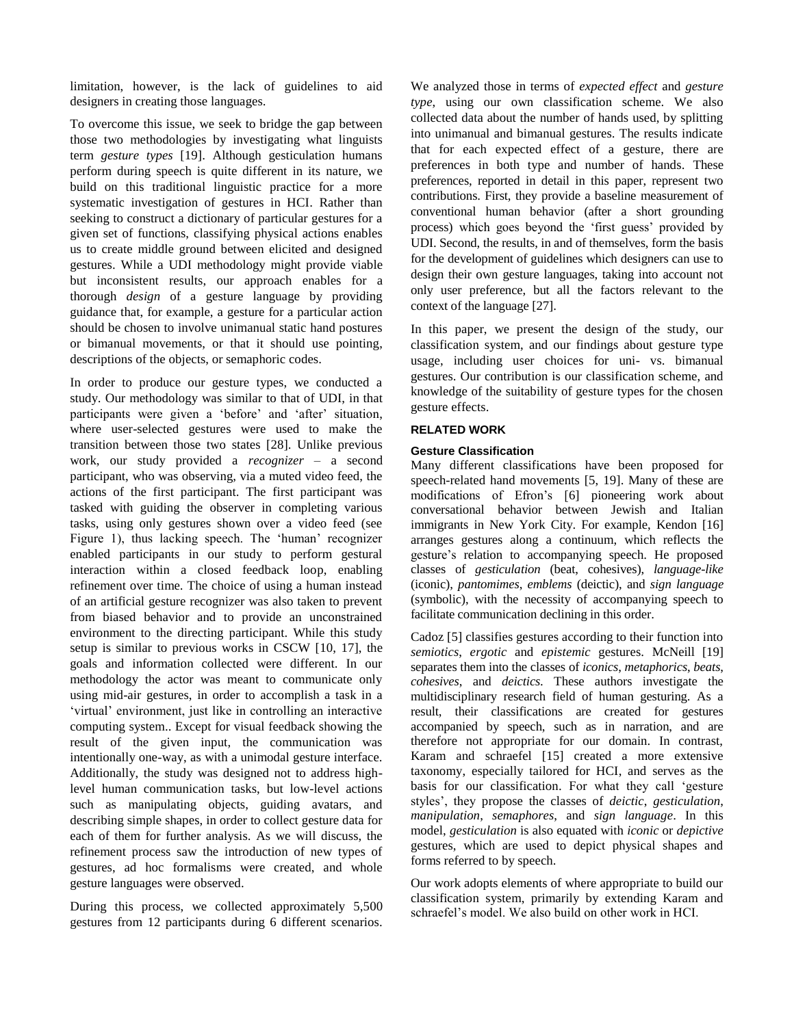limitation, however, is the lack of guidelines to aid designers in creating those languages.

To overcome this issue, we seek to bridge the gap between those two methodologies by investigating what linguists term *gesture types* [\[19\]](#page-9-10). Although gesticulation humans perform during speech is quite different in its nature, we build on this traditional linguistic practice for a more systematic investigation of gestures in HCI. Rather than seeking to construct a dictionary of particular gestures for a given set of functions, classifying physical actions enables us to create middle ground between elicited and designed gestures. While a UDI methodology might provide viable but inconsistent results, our approach enables for a thorough *design* of a gesture language by providing guidance that, for example, a gesture for a particular action should be chosen to involve unimanual static hand postures or bimanual movements, or that it should use pointing, descriptions of the objects, or semaphoric codes.

In order to produce our gesture types, we conducted a study. Our methodology was similar to that of UDI, in that participants were given a 'before' and 'after' situation, where user-selected gestures were used to make the transition between those two states [\[28\]](#page-9-9). Unlike previous work, our study provided a *recognizer* – a second participant, who was observing, via a muted video feed, the actions of the first participant. The first participant was tasked with guiding the observer in completing various tasks, using only gestures shown over a video feed (see Figure 1), thus lacking speech. The 'human' recognizer enabled participants in our study to perform gestural interaction within a closed feedback loop, enabling refinement over time. The choice of using a human instead of an artificial gesture recognizer was also taken to prevent from biased behavior and to provide an unconstrained environment to the directing participant. While this study setup is similar to previous works in CSCW [\[10,](#page-9-11) [17\]](#page-9-12), the goals and information collected were different. In our methodology the actor was meant to communicate only using mid-air gestures, in order to accomplish a task in a 'virtual' environment, just like in controlling an interactive computing system.. Except for visual feedback showing the result of the given input, the communication was intentionally one-way, as with a unimodal gesture interface. Additionally, the study was designed not to address highlevel human communication tasks, but low-level actions such as manipulating objects, guiding avatars, and describing simple shapes, in order to collect gesture data for each of them for further analysis. As we will discuss, the refinement process saw the introduction of new types of gestures, ad hoc formalisms were created, and whole gesture languages were observed.

During this process, we collected approximately 5,500 gestures from 12 participants during 6 different scenarios.

We analyzed those in terms of *expected effect* and *gesture type*, using our own classification scheme. We also collected data about the number of hands used, by splitting into unimanual and bimanual gestures. The results indicate that for each expected effect of a gesture, there are preferences in both type and number of hands. These preferences, reported in detail in this paper, represent two contributions. First, they provide a baseline measurement of conventional human behavior (after a short grounding process) which goes beyond the 'first guess' provided by UDI. Second, the results, in and of themselves, form the basis for the development of guidelines which designers can use to design their own gesture languages, taking into account not only user preference, but all the factors relevant to the context of the language [\[27\]](#page-9-13).

In this paper, we present the design of the study, our classification system, and our findings about gesture type usage, including user choices for uni- vs. bimanual gestures. Our contribution is our classification scheme, and knowledge of the suitability of gesture types for the chosen gesture effects.

## **RELATED WORK**

## **Gesture Classification**

Many different classifications have been proposed for speech-related hand movements [\[5,](#page-9-14) [19\]](#page-9-10). Many of these are modifications of Efron's [\[6\]](#page-9-15) pioneering work about conversational behavior between Jewish and Italian immigrants in New York City. For example, Kendon [\[16\]](#page-9-16) arranges gestures along a continuum, which reflects the gesture's relation to accompanying speech. He proposed classes of *gesticulation* (beat, cohesives), *language-like* (iconic), *pantomimes*, *emblems* (deictic), and *sign language* (symbolic), with the necessity of accompanying speech to facilitate communication declining in this order.

Cadoz [\[5\]](#page-9-14) classifies gestures according to their function into *semiotics*, *ergotic* and *epistemic* gestures. McNeill [\[19\]](#page-9-10) separates them into the classes of *iconics*, *metaphorics*, *beats*, *cohesives*, and *deictics*. These authors investigate the multidisciplinary research field of human gesturing. As a result, their classifications are created for gestures accompanied by speech, such as in narration, and are therefore not appropriate for our domain. In contrast, Karam and schraefel [\[15\]](#page-9-17) created a more extensive taxonomy, especially tailored for HCI, and serves as the basis for our classification. For what they call 'gesture styles', they propose the classes of *deictic*, *gesticulation*, *manipulation*, *semaphores*, and *sign language*. In this model, *gesticulation* is also equated with *iconic* or *depictive* gestures, which are used to depict physical shapes and forms referred to by speech.

Our work adopts elements of where appropriate to build our classification system, primarily by extending Karam and schraefel's model. We also build on other work in HCI.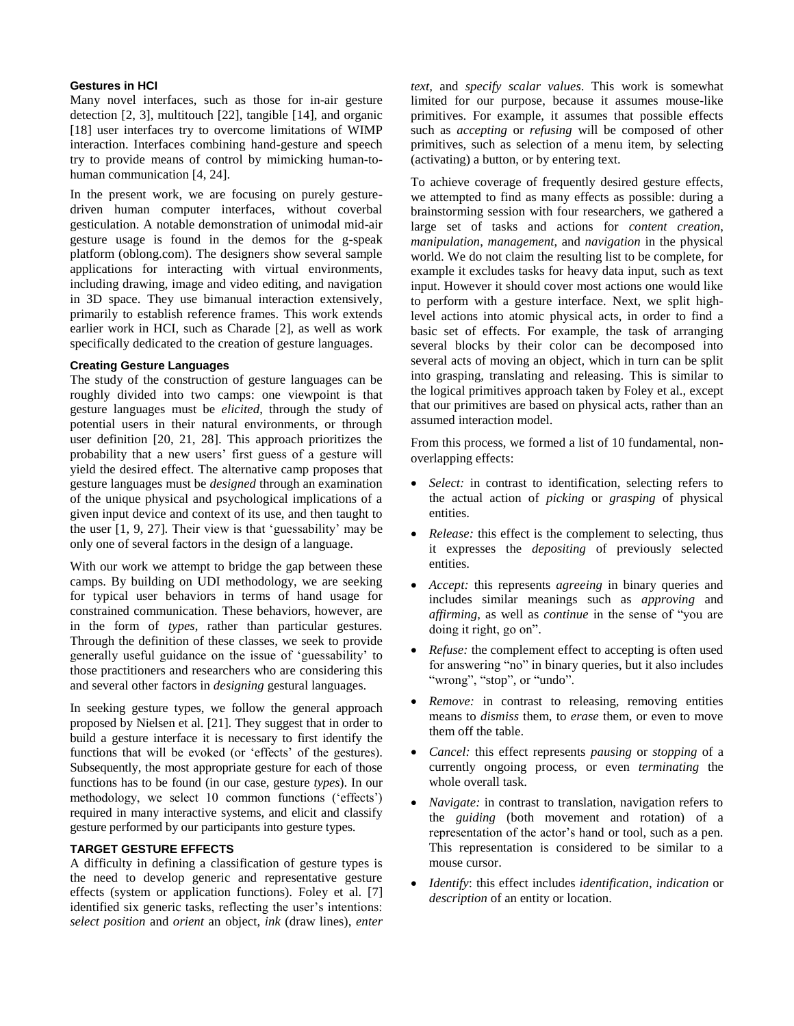## **Gestures in HCI**

Many novel interfaces, such as those for in-air gesture detection [\[2,](#page-9-18) [3\]](#page-9-4), multitouch [\[22\]](#page-9-19), tangible [\[14\]](#page-9-20), and organic [\[18\]](#page-9-21) user interfaces try to overcome limitations of WIMP interaction. Interfaces combining hand-gesture and speech try to provide means of control by mimicking human-tohuman communication [\[4,](#page-9-22) [24\]](#page-9-8).

In the present work, we are focusing on purely gesturedriven human computer interfaces, without coverbal gesticulation. A notable demonstration of unimodal mid-air gesture usage is found in the demos for the g-speak platform (oblong.com). The designers show several sample applications for interacting with virtual environments, including drawing, image and video editing, and navigation in 3D space. They use bimanual interaction extensively, primarily to establish reference frames. This work extends earlier work in HCI, such as Charade [\[2\]](#page-9-18), as well as work specifically dedicated to the creation of gesture languages.

## **Creating Gesture Languages**

The study of the construction of gesture languages can be roughly divided into two camps: one viewpoint is that gesture languages must be *elicited*, through the study of potential users in their natural environments, or through user definition [\[20,](#page-9-23) [21,](#page-9-24) [28\]](#page-9-9). This approach prioritizes the probability that a new users' first guess of a gesture will yield the desired effect. The alternative camp proposes that gesture languages must be *designed* through an examination of the unique physical and psychological implications of a given input device and context of its use, and then taught to the user [\[1,](#page-9-5) [9,](#page-9-25) [27\]](#page-9-13). Their view is that 'guessability' may be only one of several factors in the design of a language.

With our work we attempt to bridge the gap between these camps. By building on UDI methodology, we are seeking for typical user behaviors in terms of hand usage for constrained communication. These behaviors, however, are in the form of *types*, rather than particular gestures. Through the definition of these classes, we seek to provide generally useful guidance on the issue of 'guessability' to those practitioners and researchers who are considering this and several other factors in *designing* gestural languages.

In seeking gesture types, we follow the general approach proposed by Nielsen et al. [\[21\]](#page-9-24). They suggest that in order to build a gesture interface it is necessary to first identify the functions that will be evoked (or 'effects' of the gestures). Subsequently, the most appropriate gesture for each of those functions has to be found (in our case, gesture *types*). In our methodology, we select 10 common functions ('effects') required in many interactive systems, and elicit and classify gesture performed by our participants into gesture types.

# **TARGET GESTURE EFFECTS**

A difficulty in defining a classification of gesture types is the need to develop generic and representative gesture effects (system or application functions). Foley et al. [\[7\]](#page-9-26) identified six generic tasks, reflecting the user's intentions: *select position* and *orient* an object, *ink* (draw lines), *enter*  *text,* and *specify scalar values*. This work is somewhat limited for our purpose, because it assumes mouse-like primitives. For example, it assumes that possible effects such as *accepting* or *refusing* will be composed of other primitives, such as selection of a menu item, by selecting (activating) a button, or by entering text.

To achieve coverage of frequently desired gesture effects, we attempted to find as many effects as possible: during a brainstorming session with four researchers, we gathered a large set of tasks and actions for *content creation*, *manipulation*, *management*, and *navigation* in the physical world. We do not claim the resulting list to be complete, for example it excludes tasks for heavy data input, such as text input. However it should cover most actions one would like to perform with a gesture interface. Next, we split highlevel actions into atomic physical acts, in order to find a basic set of effects. For example, the task of arranging several blocks by their color can be decomposed into several acts of moving an object, which in turn can be split into grasping, translating and releasing. This is similar to the logical primitives approach taken by Foley et al., except that our primitives are based on physical acts, rather than an assumed interaction model.

From this process, we formed a list of 10 fundamental, nonoverlapping effects:

- *Select:* in contrast to identification, selecting refers to the actual action of *picking* or *grasping* of physical entities.
- *Release:* this effect is the complement to selecting, thus it expresses the *depositing* of previously selected entities.
- *Accept:* this represents *agreeing* in binary queries and includes similar meanings such as *approving* and *affirming*, as well as *continue* in the sense of "you are doing it right, go on".
- *Refuse:* the complement effect to accepting is often used for answering "no" in binary queries, but it also includes "wrong", "stop", or "undo".
- *Remove:* in contrast to releasing, removing entities means to *dismiss* them, to *erase* them, or even to move them off the table.
- *Cancel:* this effect represents *pausing* or *stopping* of a currently ongoing process, or even *terminating* the whole overall task.
- *Navigate:* in contrast to translation, navigation refers to the *guiding* (both movement and rotation) of a representation of the actor's hand or tool, such as a pen. This representation is considered to be similar to a mouse cursor.
- *Identify*: this effect includes *identification*, *indication* or *description* of an entity or location.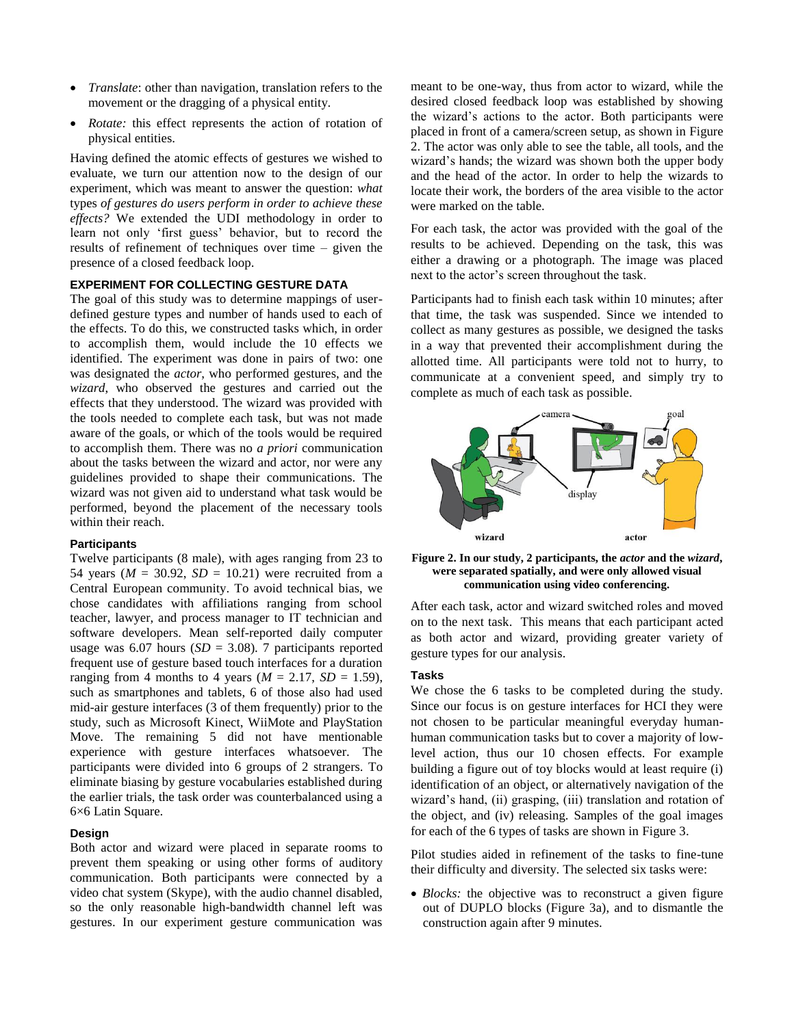- *Translate*: other than navigation, translation refers to the movement or the dragging of a physical entity.
- *Rotate:* this effect represents the action of rotation of physical entities.

Having defined the atomic effects of gestures we wished to evaluate, we turn our attention now to the design of our experiment, which was meant to answer the question: *what* types *of gestures do users perform in order to achieve these effects?* We extended the UDI methodology in order to learn not only 'first guess' behavior, but to record the results of refinement of techniques over time – given the presence of a closed feedback loop.

## **EXPERIMENT FOR COLLECTING GESTURE DATA**

The goal of this study was to determine mappings of userdefined gesture types and number of hands used to each of the effects. To do this, we constructed tasks which, in order to accomplish them, would include the 10 effects we identified. The experiment was done in pairs of two: one was designated the *actor*, who performed gestures, and the *wizard*, who observed the gestures and carried out the effects that they understood. The wizard was provided with the tools needed to complete each task, but was not made aware of the goals, or which of the tools would be required to accomplish them. There was no *a priori* communication about the tasks between the wizard and actor, nor were any guidelines provided to shape their communications. The wizard was not given aid to understand what task would be performed, beyond the placement of the necessary tools within their reach.

### **Participants**

Twelve participants (8 male), with ages ranging from 23 to 54 years ( $M = 30.92$ ,  $SD = 10.21$ ) were recruited from a Central European community. To avoid technical bias, we chose candidates with affiliations ranging from school teacher, lawyer, and process manager to IT technician and software developers. Mean self-reported daily computer usage was 6.07 hours (*SD* = 3.08). 7 participants reported frequent use of gesture based touch interfaces for a duration ranging from 4 months to 4 years ( $M = 2.17$ ,  $SD = 1.59$ ), such as smartphones and tablets, 6 of those also had used mid-air gesture interfaces (3 of them frequently) prior to the study, such as Microsoft Kinect, WiiMote and PlayStation Move. The remaining 5 did not have mentionable experience with gesture interfaces whatsoever. The participants were divided into 6 groups of 2 strangers. To eliminate biasing by gesture vocabularies established during the earlier trials, the task order was counterbalanced using a 6×6 Latin Square.

## **Design**

Both actor and wizard were placed in separate rooms to prevent them speaking or using other forms of auditory communication. Both participants were connected by a video chat system (Skype), with the audio channel disabled, so the only reasonable high-bandwidth channel left was gestures. In our experiment gesture communication was

meant to be one-way, thus from actor to wizard, while the desired closed feedback loop was established by showing the wizard's actions to the actor. Both participants were placed in front of a camera/screen setup, as shown in [Figure](#page-3-0)  [2.](#page-3-0) The actor was only able to see the table, all tools, and the wizard's hands; the wizard was shown both the upper body and the head of the actor. In order to help the wizards to locate their work, the borders of the area visible to the actor were marked on the table.

For each task, the actor was provided with the goal of the results to be achieved. Depending on the task, this was either a drawing or a photograph. The image was placed next to the actor's screen throughout the task.

Participants had to finish each task within 10 minutes; after that time, the task was suspended. Since we intended to collect as many gestures as possible, we designed the tasks in a way that prevented their accomplishment during the allotted time. All participants were told not to hurry, to communicate at a convenient speed, and simply try to complete as much of each task as possible.



<span id="page-3-0"></span>**Figure 2. In our study, 2 participants, the** *actor* **and the** *wizard***, were separated spatially, and were only allowed visual communication using video conferencing.**

After each task, actor and wizard switched roles and moved on to the next task. This means that each participant acted as both actor and wizard, providing greater variety of gesture types for our analysis.

#### **Tasks**

We chose the 6 tasks to be completed during the study. Since our focus is on gesture interfaces for HCI they were not chosen to be particular meaningful everyday humanhuman communication tasks but to cover a majority of lowlevel action, thus our 10 chosen effects. For example building a figure out of toy blocks would at least require (i) identification of an object, or alternatively navigation of the wizard's hand, (ii) grasping, (iii) translation and rotation of the object, and (iv) releasing. Samples of the goal images for each of the 6 types of tasks are shown in Figure 3.

Pilot studies aided in refinement of the tasks to fine-tune their difficulty and diversity. The selected six tasks were:

 *Blocks:* the objective was to reconstruct a given figure out of DUPLO blocks (Figure 3a), and to dismantle the construction again after 9 minutes.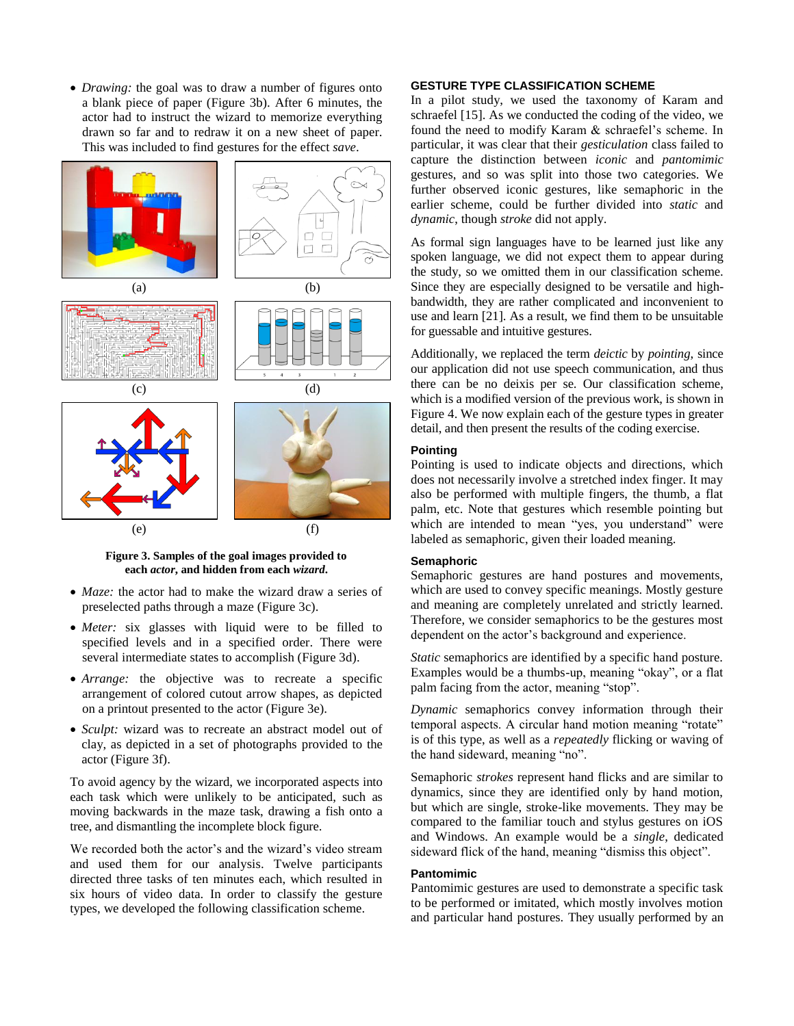*Drawing:* the goal was to draw a number of figures onto a blank piece of paper (Figure 3b). After 6 minutes, the actor had to instruct the wizard to memorize everything drawn so far and to redraw it on a new sheet of paper. This was included to find gestures for the effect *save*.



**Figure 3. Samples of the goal images provided to each** *actor***, and hidden from each** *wizard***.**

- *Maze:* the actor had to make the wizard draw a series of preselected paths through a maze (Figure 3c).
- *Meter:* six glasses with liquid were to be filled to specified levels and in a specified order. There were several intermediate states to accomplish (Figure 3d).
- *Arrange:* the objective was to recreate a specific arrangement of colored cutout arrow shapes, as depicted on a printout presented to the actor (Figure 3e).
- *Sculpt:* wizard was to recreate an abstract model out of clay, as depicted in a set of photographs provided to the actor (Figure 3f).

To avoid agency by the wizard, we incorporated aspects into each task which were unlikely to be anticipated, such as moving backwards in the maze task, drawing a fish onto a tree, and dismantling the incomplete block figure.

We recorded both the actor's and the wizard's video stream and used them for our analysis. Twelve participants directed three tasks of ten minutes each, which resulted in six hours of video data. In order to classify the gesture types, we developed the following classification scheme.

## **GESTURE TYPE CLASSIFICATION SCHEME**

In a pilot study, we used the taxonomy of Karam and schraefel [\[15\]](#page-9-17). As we conducted the coding of the video, we found the need to modify Karam & schraefel's scheme. In particular, it was clear that their *gesticulation* class failed to capture the distinction between *iconic* and *pantomimic* gestures, and so was split into those two categories. We further observed iconic gestures, like semaphoric in the earlier scheme, could be further divided into *static* and *dynamic*, though *stroke* did not apply.

As formal sign languages have to be learned just like any spoken language, we did not expect them to appear during the study, so we omitted them in our classification scheme. Since they are especially designed to be versatile and highbandwidth, they are rather complicated and inconvenient to use and learn [\[21\]](#page-9-24). As a result, we find them to be unsuitable for guessable and intuitive gestures.

Additionally, we replaced the term *deictic* by *pointing*, since our application did not use speech communication, and thus there can be no deixis per se. Our classification scheme, which is a modified version of the previous work, is shown in [Figure 4.](#page-5-0) We now explain each of the gesture types in greater detail, and then present the results of the coding exercise.

## **Pointing**

Pointing is used to indicate objects and directions, which does not necessarily involve a stretched index finger. It may also be performed with multiple fingers, the thumb, a flat palm, etc. Note that gestures which resemble pointing but which are intended to mean "yes, you understand" were labeled as semaphoric, given their loaded meaning.

#### **Semaphoric**

Semaphoric gestures are hand postures and movements, which are used to convey specific meanings. Mostly gesture and meaning are completely unrelated and strictly learned. Therefore, we consider semaphorics to be the gestures most dependent on the actor's background and experience.

*Static* semaphorics are identified by a specific hand posture. Examples would be a thumbs-up, meaning "okay", or a flat palm facing from the actor, meaning "stop".

*Dynamic* semaphorics convey information through their temporal aspects. A circular hand motion meaning "rotate" is of this type, as well as a *repeatedly* flicking or waving of the hand sideward, meaning "no".

Semaphoric *strokes* represent hand flicks and are similar to dynamics, since they are identified only by hand motion, but which are single, stroke-like movements. They may be compared to the familiar touch and stylus gestures on iOS and Windows. An example would be a *single*, dedicated sideward flick of the hand, meaning "dismiss this object".

## **Pantomimic**

Pantomimic gestures are used to demonstrate a specific task to be performed or imitated, which mostly involves motion and particular hand postures. They usually performed by an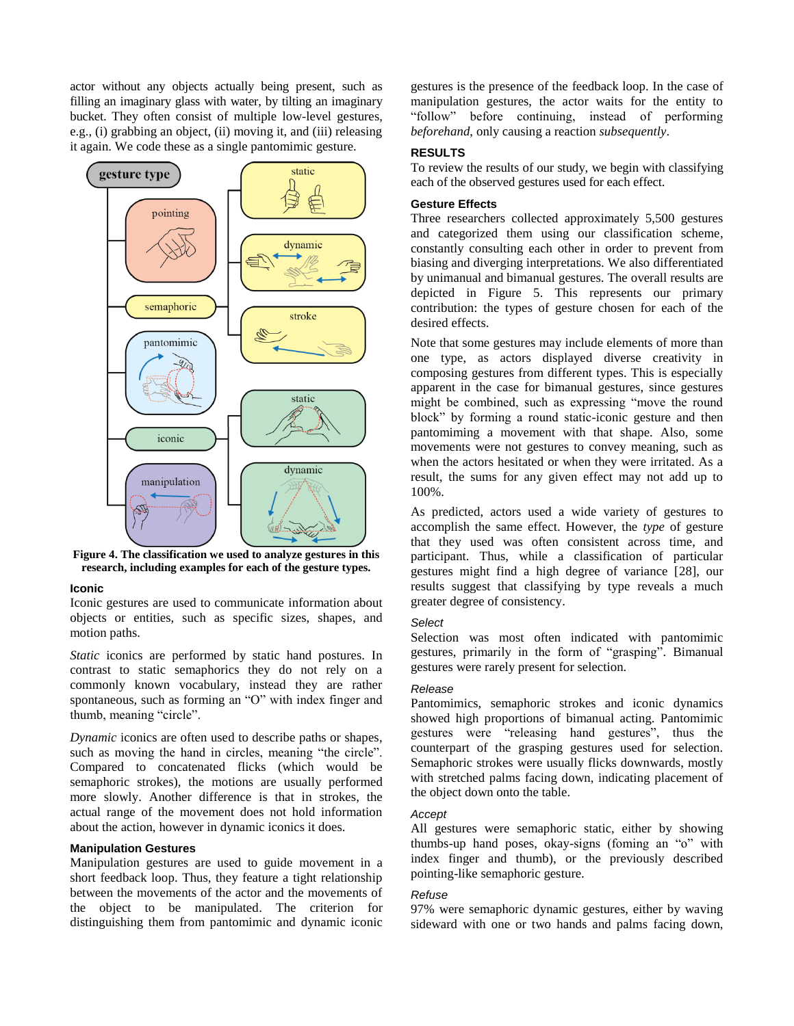actor without any objects actually being present, such as filling an imaginary glass with water, by tilting an imaginary bucket. They often consist of multiple low-level gestures, e.g., (i) grabbing an object, (ii) moving it, and (iii) releasing it again. We code these as a single pantomimic gesture.



<span id="page-5-0"></span>**Figure 4. The classification we used to analyze gestures in this research, including examples for each of the gesture types.**

#### **Iconic**

Iconic gestures are used to communicate information about objects or entities, such as specific sizes, shapes, and motion paths.

*Static* iconics are performed by static hand postures. In contrast to static semaphorics they do not rely on a commonly known vocabulary, instead they are rather spontaneous, such as forming an "O" with index finger and thumb, meaning "circle".

*Dynamic* iconics are often used to describe paths or shapes, such as moving the hand in circles, meaning "the circle". Compared to concatenated flicks (which would be semaphoric strokes), the motions are usually performed more slowly. Another difference is that in strokes, the actual range of the movement does not hold information about the action, however in dynamic iconics it does.

# **Manipulation Gestures**

Manipulation gestures are used to guide movement in a short feedback loop. Thus, they feature a tight relationship between the movements of the actor and the movements of the object to be manipulated. The criterion for distinguishing them from pantomimic and dynamic iconic gestures is the presence of the feedback loop. In the case of manipulation gestures, the actor waits for the entity to "follow" before continuing, instead of performing *beforehand*, only causing a reaction *subsequently*.

## **RESULTS**

To review the results of our study, we begin with classifying each of the observed gestures used for each effect.

## **Gesture Effects**

Three researchers collected approximately 5,500 gestures and categorized them using our classification scheme, constantly consulting each other in order to prevent from biasing and diverging interpretations. We also differentiated by unimanual and bimanual gestures. The overall results are depicted in [Figure 5.](#page-6-0) This represents our primary contribution: the types of gesture chosen for each of the desired effects.

Note that some gestures may include elements of more than one type, as actors displayed diverse creativity in composing gestures from different types. This is especially apparent in the case for bimanual gestures, since gestures might be combined, such as expressing "move the round block" by forming a round static-iconic gesture and then pantomiming a movement with that shape. Also, some movements were not gestures to convey meaning, such as when the actors hesitated or when they were irritated. As a result, the sums for any given effect may not add up to 100%.

As predicted, actors used a wide variety of gestures to accomplish the same effect. However, the *type* of gesture that they used was often consistent across time, and participant. Thus, while a classification of particular gestures might find a high degree of variance [\[28\]](#page-9-9), our results suggest that classifying by type reveals a much greater degree of consistency.

#### *Select*

Selection was most often indicated with pantomimic gestures, primarily in the form of "grasping". Bimanual gestures were rarely present for selection.

### *Release*

Pantomimics, semaphoric strokes and iconic dynamics showed high proportions of bimanual acting. Pantomimic gestures were "releasing hand gestures", thus the counterpart of the grasping gestures used for selection. Semaphoric strokes were usually flicks downwards, mostly with stretched palms facing down, indicating placement of the object down onto the table.

## *Accept*

All gestures were semaphoric static, either by showing thumbs-up hand poses, okay-signs (foming an "o" with index finger and thumb), or the previously described pointing-like semaphoric gesture.

#### *Refuse*

97% were semaphoric dynamic gestures, either by waving sideward with one or two hands and palms facing down,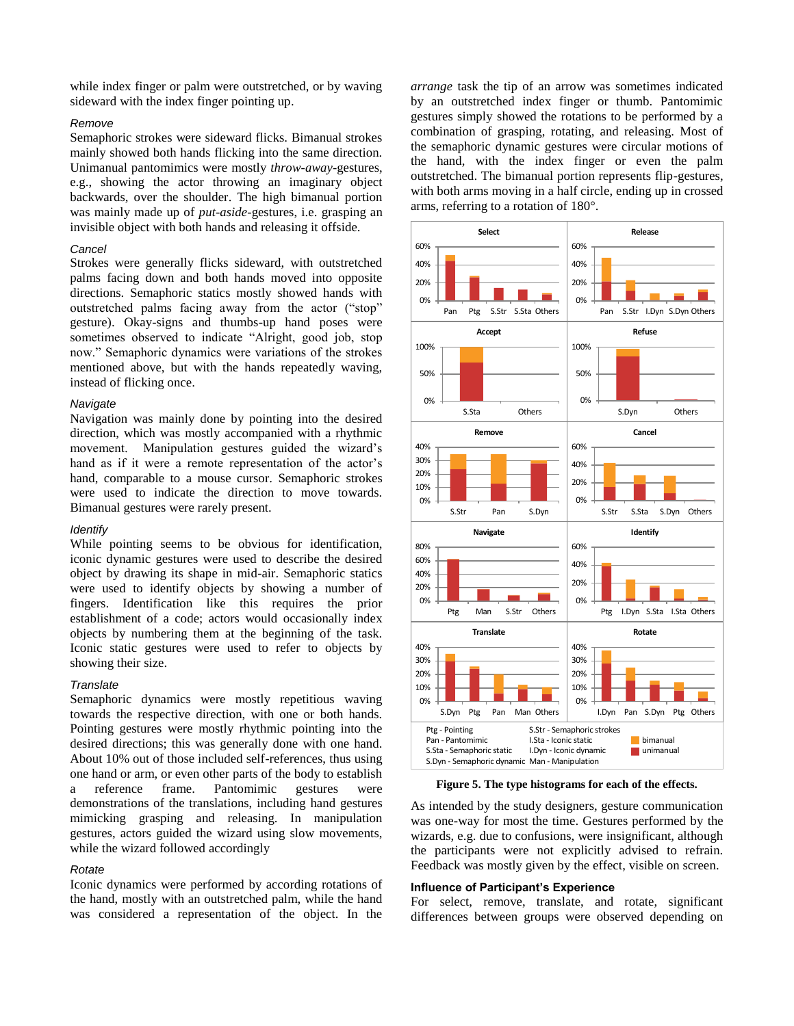while index finger or palm were outstretched, or by waving sideward with the index finger pointing up.

## *Remove*

Semaphoric strokes were sideward flicks. Bimanual strokes mainly showed both hands flicking into the same direction. Unimanual pantomimics were mostly *throw-away*-gestures, e.g., showing the actor throwing an imaginary object backwards, over the shoulder. The high bimanual portion was mainly made up of *put-aside-*gestures, i.e. grasping an invisible object with both hands and releasing it offside.

#### *Cancel*

Strokes were generally flicks sideward, with outstretched palms facing down and both hands moved into opposite directions. Semaphoric statics mostly showed hands with outstretched palms facing away from the actor ("stop" gesture). Okay-signs and thumbs-up hand poses were sometimes observed to indicate "Alright, good job, stop now." Semaphoric dynamics were variations of the strokes mentioned above, but with the hands repeatedly waving, instead of flicking once.

## *Navigate*

Navigation was mainly done by pointing into the desired direction, which was mostly accompanied with a rhythmic movement. Manipulation gestures guided the wizard's hand as if it were a remote representation of the actor's hand, comparable to a mouse cursor. Semaphoric strokes were used to indicate the direction to move towards. Bimanual gestures were rarely present.

#### *Identify*

While pointing seems to be obvious for identification. iconic dynamic gestures were used to describe the desired object by drawing its shape in mid-air. Semaphoric statics were used to identify objects by showing a number of fingers. Identification like this requires the prior establishment of a code; actors would occasionally index objects by numbering them at the beginning of the task. Iconic static gestures were used to refer to objects by showing their size.

#### *Translate*

Semaphoric dynamics were mostly repetitious waving towards the respective direction, with one or both hands. Pointing gestures were mostly rhythmic pointing into the desired directions; this was generally done with one hand. About 10% out of those included self-references, thus using one hand or arm, or even other parts of the body to establish a reference frame. Pantomimic gestures were demonstrations of the translations, including hand gestures mimicking grasping and releasing. In manipulation gestures, actors guided the wizard using slow movements, while the wizard followed accordingly

#### *Rotate*

Iconic dynamics were performed by according rotations of the hand, mostly with an outstretched palm, while the hand was considered a representation of the object. In the *arrange* task the tip of an arrow was sometimes indicated by an outstretched index finger or thumb. Pantomimic gestures simply showed the rotations to be performed by a combination of grasping, rotating, and releasing. Most of the semaphoric dynamic gestures were circular motions of the hand, with the index finger or even the palm outstretched. The bimanual portion represents flip-gestures, with both arms moving in a half circle, ending up in crossed arms, referring to a rotation of 180°.



**Figure 5. The type histograms for each of the effects.**

<span id="page-6-0"></span>As intended by the study designers, gesture communication was one-way for most the time. Gestures performed by the wizards, e.g. due to confusions, were insignificant, although the participants were not explicitly advised to refrain. Feedback was mostly given by the effect, visible on screen.

## **Influence of Participant's Experience**

For select, remove, translate, and rotate, significant differences between groups were observed depending on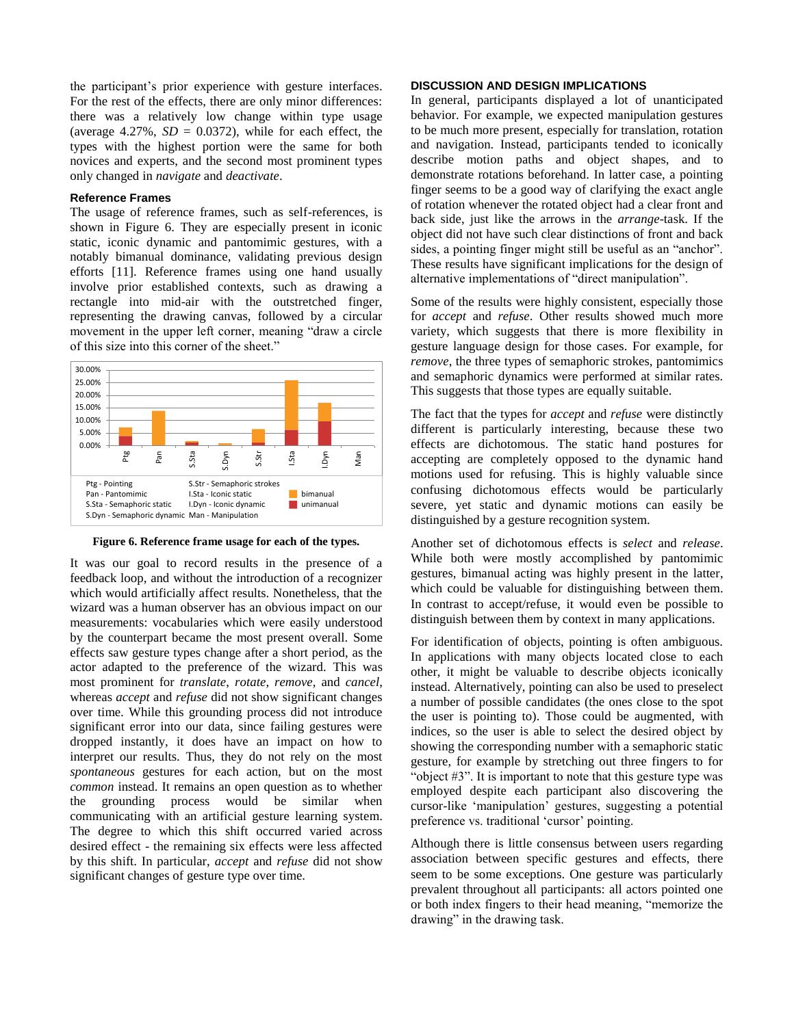the participant's prior experience with gesture interfaces. For the rest of the effects, there are only minor differences: there was a relatively low change within type usage (average  $4.27\%$ ,  $SD = 0.0372$ ), while for each effect, the types with the highest portion were the same for both novices and experts, and the second most prominent types only changed in *navigate* and *deactivate*.

#### **Reference Frames**

The usage of reference frames, such as self-references, is shown in Figure 6. They are especially present in iconic static, iconic dynamic and pantomimic gestures, with a notably bimanual dominance, validating previous design efforts [\[11\]](#page-9-27). Reference frames using one hand usually involve prior established contexts, such as drawing a rectangle into mid-air with the outstretched finger, representing the drawing canvas, followed by a circular movement in the upper left corner, meaning "draw a circle of this size into this corner of the sheet."



**Figure 6. Reference frame usage for each of the types.**

It was our goal to record results in the presence of a feedback loop, and without the introduction of a recognizer which would artificially affect results. Nonetheless, that the wizard was a human observer has an obvious impact on our measurements: vocabularies which were easily understood by the counterpart became the most present overall. Some effects saw gesture types change after a short period, as the actor adapted to the preference of the wizard. This was most prominent for *translate*, *rotate*, *remove*, and *cancel*, whereas *accept* and *refuse* did not show significant changes over time. While this grounding process did not introduce significant error into our data, since failing gestures were dropped instantly, it does have an impact on how to interpret our results. Thus, they do not rely on the most *spontaneous* gestures for each action, but on the most *common* instead. It remains an open question as to whether the grounding process would be similar when communicating with an artificial gesture learning system. The degree to which this shift occurred varied across desired effect - the remaining six effects were less affected by this shift. In particular, *accept* and *refuse* did not show significant changes of gesture type over time.

#### **DISCUSSION AND DESIGN IMPLICATIONS**

In general, participants displayed a lot of unanticipated behavior. For example, we expected manipulation gestures to be much more present, especially for translation, rotation and navigation. Instead, participants tended to iconically describe motion paths and object shapes, and to demonstrate rotations beforehand. In latter case, a pointing finger seems to be a good way of clarifying the exact angle of rotation whenever the rotated object had a clear front and back side, just like the arrows in the *arrange*-task. If the object did not have such clear distinctions of front and back sides, a pointing finger might still be useful as an "anchor". These results have significant implications for the design of alternative implementations of "direct manipulation".

Some of the results were highly consistent, especially those for *accept* and *refuse*. Other results showed much more variety, which suggests that there is more flexibility in gesture language design for those cases. For example, for *remove*, the three types of semaphoric strokes, pantomimics and semaphoric dynamics were performed at similar rates. This suggests that those types are equally suitable.

The fact that the types for *accept* and *refuse* were distinctly different is particularly interesting, because these two effects are dichotomous. The static hand postures for accepting are completely opposed to the dynamic hand motions used for refusing. This is highly valuable since confusing dichotomous effects would be particularly severe, yet static and dynamic motions can easily be distinguished by a gesture recognition system.

Another set of dichotomous effects is *select* and *release*. While both were mostly accomplished by pantomimic gestures, bimanual acting was highly present in the latter, which could be valuable for distinguishing between them. In contrast to accept/refuse, it would even be possible to distinguish between them by context in many applications.

For identification of objects, pointing is often ambiguous. In applications with many objects located close to each other, it might be valuable to describe objects iconically instead. Alternatively, pointing can also be used to preselect a number of possible candidates (the ones close to the spot the user is pointing to). Those could be augmented, with indices, so the user is able to select the desired object by showing the corresponding number with a semaphoric static gesture, for example by stretching out three fingers to for "object #3". It is important to note that this gesture type was employed despite each participant also discovering the cursor-like 'manipulation' gestures, suggesting a potential preference vs. traditional 'cursor' pointing.

Although there is little consensus between users regarding association between specific gestures and effects, there seem to be some exceptions. One gesture was particularly prevalent throughout all participants: all actors pointed one or both index fingers to their head meaning, "memorize the drawing" in the drawing task.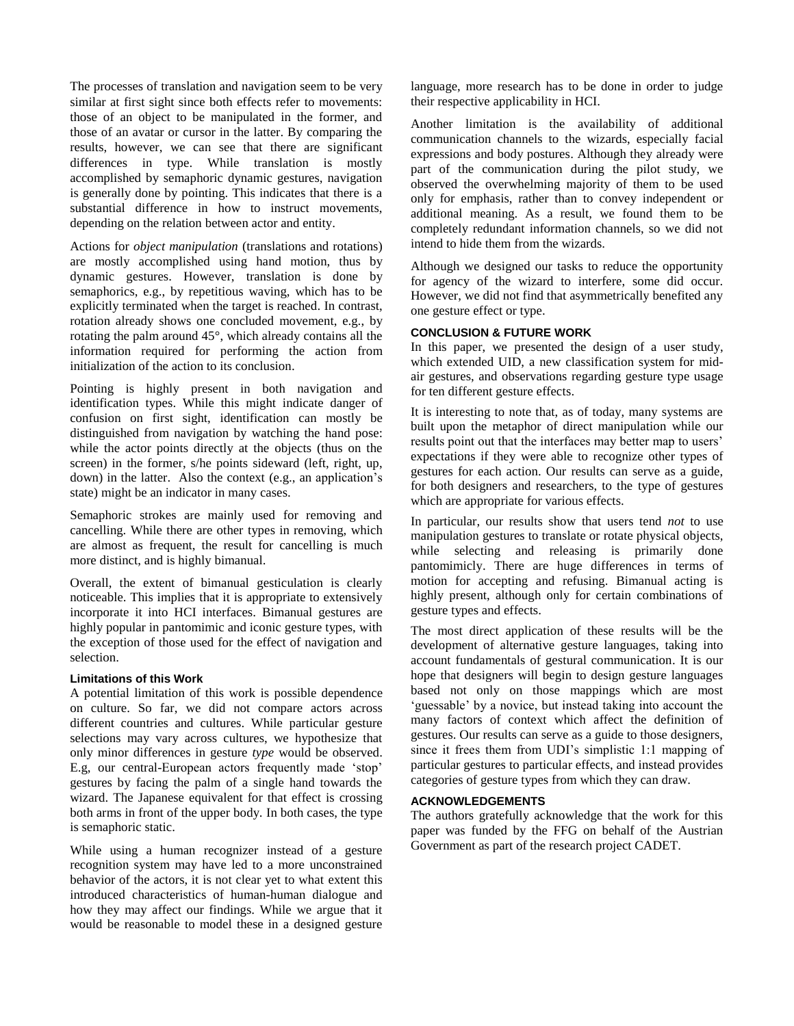The processes of translation and navigation seem to be very similar at first sight since both effects refer to movements: those of an object to be manipulated in the former, and those of an avatar or cursor in the latter. By comparing the results, however, we can see that there are significant differences in type. While translation is mostly accomplished by semaphoric dynamic gestures, navigation is generally done by pointing. This indicates that there is a substantial difference in how to instruct movements, depending on the relation between actor and entity.

Actions for *object manipulation* (translations and rotations) are mostly accomplished using hand motion, thus by dynamic gestures. However, translation is done by semaphorics, e.g., by repetitious waving, which has to be explicitly terminated when the target is reached. In contrast, rotation already shows one concluded movement, e.g., by rotating the palm around 45°, which already contains all the information required for performing the action from initialization of the action to its conclusion.

Pointing is highly present in both navigation and identification types. While this might indicate danger of confusion on first sight, identification can mostly be distinguished from navigation by watching the hand pose: while the actor points directly at the objects (thus on the screen) in the former, s/he points sideward (left, right, up, down) in the latter. Also the context (e.g., an application's state) might be an indicator in many cases.

Semaphoric strokes are mainly used for removing and cancelling. While there are other types in removing, which are almost as frequent, the result for cancelling is much more distinct, and is highly bimanual.

Overall, the extent of bimanual gesticulation is clearly noticeable. This implies that it is appropriate to extensively incorporate it into HCI interfaces. Bimanual gestures are highly popular in pantomimic and iconic gesture types, with the exception of those used for the effect of navigation and selection.

## **Limitations of this Work**

A potential limitation of this work is possible dependence on culture. So far, we did not compare actors across different countries and cultures. While particular gesture selections may vary across cultures, we hypothesize that only minor differences in gesture *type* would be observed. E.g, our central-European actors frequently made 'stop' gestures by facing the palm of a single hand towards the wizard. The Japanese equivalent for that effect is crossing both arms in front of the upper body. In both cases, the type is semaphoric static.

While using a human recognizer instead of a gesture recognition system may have led to a more unconstrained behavior of the actors, it is not clear yet to what extent this introduced characteristics of human-human dialogue and how they may affect our findings. While we argue that it would be reasonable to model these in a designed gesture

language, more research has to be done in order to judge their respective applicability in HCI.

Another limitation is the availability of additional communication channels to the wizards, especially facial expressions and body postures. Although they already were part of the communication during the pilot study, we observed the overwhelming majority of them to be used only for emphasis, rather than to convey independent or additional meaning. As a result, we found them to be completely redundant information channels, so we did not intend to hide them from the wizards.

Although we designed our tasks to reduce the opportunity for agency of the wizard to interfere, some did occur. However, we did not find that asymmetrically benefited any one gesture effect or type.

## **CONCLUSION & FUTURE WORK**

In this paper, we presented the design of a user study, which extended UID, a new classification system for midair gestures, and observations regarding gesture type usage for ten different gesture effects.

It is interesting to note that, as of today, many systems are built upon the metaphor of direct manipulation while our results point out that the interfaces may better map to users' expectations if they were able to recognize other types of gestures for each action. Our results can serve as a guide, for both designers and researchers, to the type of gestures which are appropriate for various effects.

In particular, our results show that users tend *not* to use manipulation gestures to translate or rotate physical objects, while selecting and releasing is primarily done pantomimicly. There are huge differences in terms of motion for accepting and refusing. Bimanual acting is highly present, although only for certain combinations of gesture types and effects.

The most direct application of these results will be the development of alternative gesture languages, taking into account fundamentals of gestural communication. It is our hope that designers will begin to design gesture languages based not only on those mappings which are most 'guessable' by a novice, but instead taking into account the many factors of context which affect the definition of gestures. Our results can serve as a guide to those designers, since it frees them from UDI's simplistic 1:1 mapping of particular gestures to particular effects, and instead provides categories of gesture types from which they can draw.

## **ACKNOWLEDGEMENTS**

The authors gratefully acknowledge that the work for this paper was funded by the FFG on behalf of the Austrian Government as part of the research project CADET.